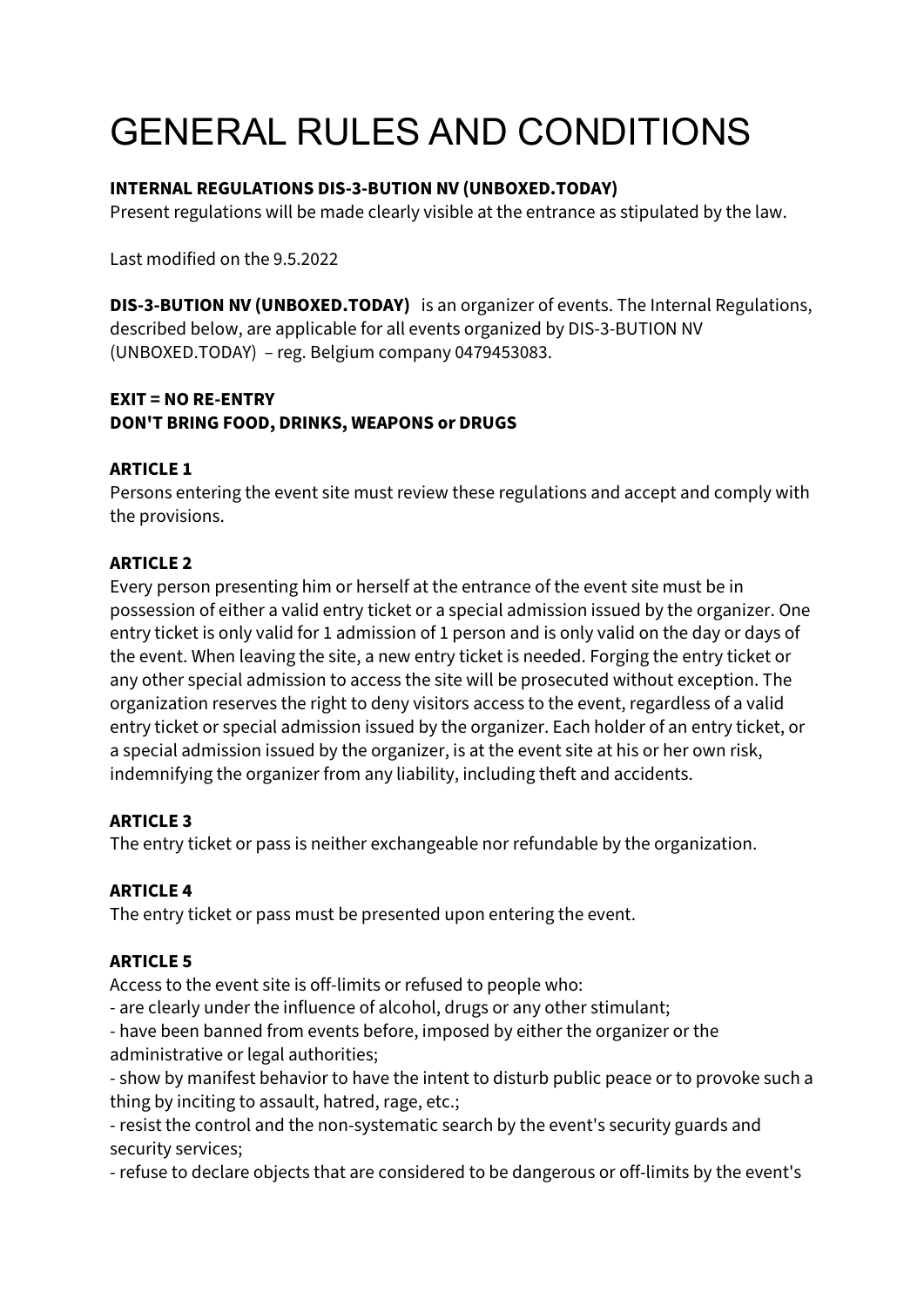# GENERAL RULES AND CONDITIONS

#### **INTERNAL REGULATIONS DIS-3-BUTION NV (UNBOXED.TODAY)**

Present regulations will be made clearly visible at the entrance as stipulated by the law.

Last modified on the 9.5.2022

**DIS-3-BUTION NV (UNBOXED.TODAY)** is an organizer of events. The Internal Regulations, described below, are applicable for all events organized by DIS-3-BUTION NV (UNBOXED.TODAY) – reg. Belgium company 0479453083.

#### **EXIT = NO RE-ENTRY DON'T BRING FOOD, DRINKS, WEAPONS or DRUGS**

#### **ARTICLE 1**

Persons entering the event site must review these regulations and accept and comply with the provisions.

#### **ARTICLE 2**

Every person presenting him or herself at the entrance of the event site must be in possession of either a valid entry ticket or a special admission issued by the organizer. One entry ticket is only valid for 1 admission of 1 person and is only valid on the day or days of the event. When leaving the site, a new entry ticket is needed. Forging the entry ticket or any other special admission to access the site will be prosecuted without exception. The organization reserves the right to deny visitors access to the event, regardless of a valid entry ticket or special admission issued by the organizer. Each holder of an entry ticket, or a special admission issued by the organizer, is at the event site at his or her own risk, indemnifying the organizer from any liability, including theft and accidents.

#### **ARTICLE 3**

The entry ticket or pass is neither exchangeable nor refundable by the organization.

#### **ARTICLE 4**

The entry ticket or pass must be presented upon entering the event.

#### **ARTICLE 5**

Access to the event site is off-limits or refused to people who:

- are clearly under the influence of alcohol, drugs or any other stimulant;

- have been banned from events before, imposed by either the organizer or the administrative or legal authorities;

- show by manifest behavior to have the intent to disturb public peace or to provoke such a thing by inciting to assault, hatred, rage, etc.;

- resist the control and the non-systematic search by the event's security guards and security services;

- refuse to declare objects that are considered to be dangerous or off-limits by the event's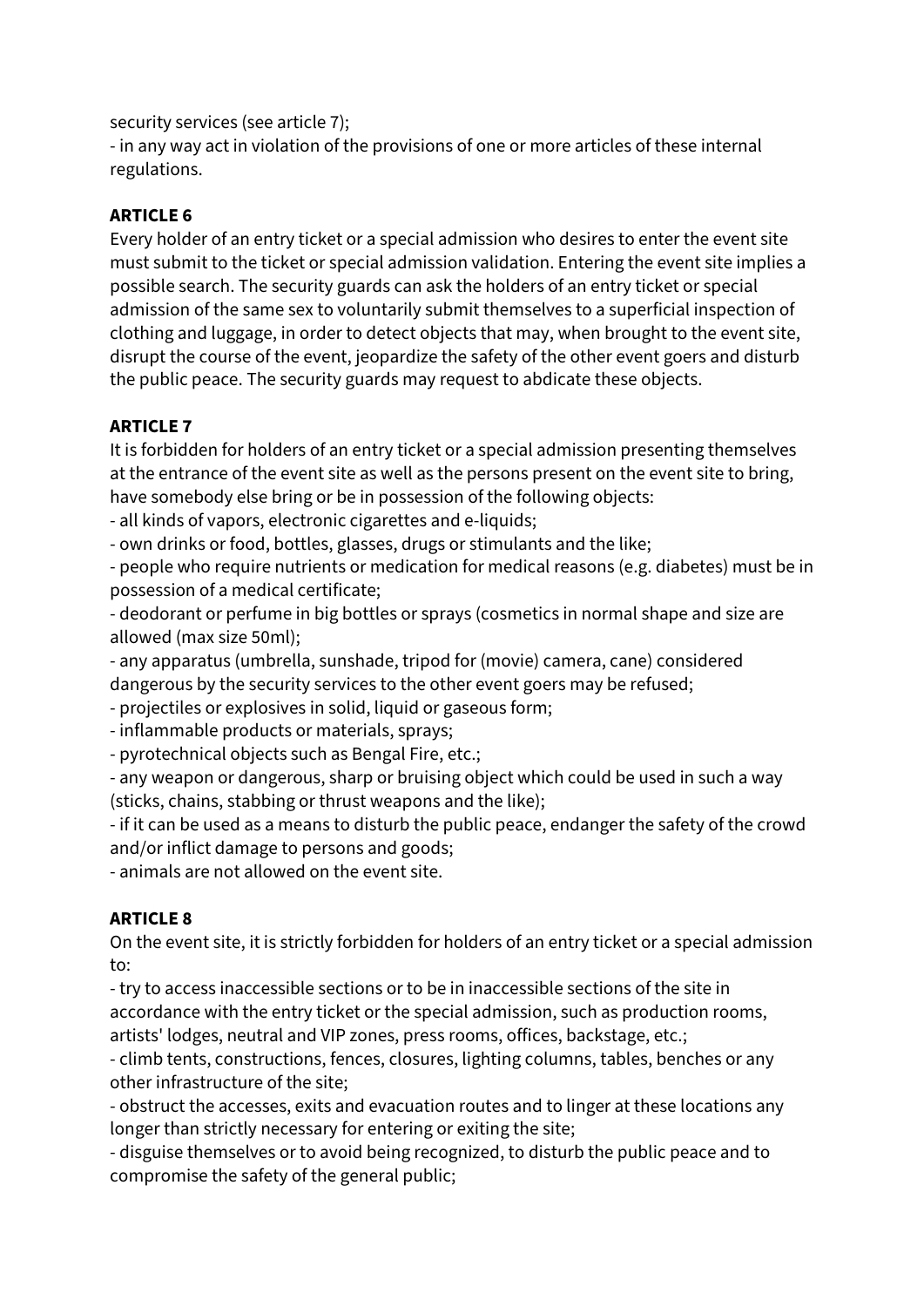security services (see article 7);

- in any way act in violation of the provisions of one or more articles of these internal regulations.

### **ARTICLE 6**

Every holder of an entry ticket or a special admission who desires to enter the event site must submit to the ticket or special admission validation. Entering the event site implies a possible search. The security guards can ask the holders of an entry ticket or special admission of the same sex to voluntarily submit themselves to a superficial inspection of clothing and luggage, in order to detect objects that may, when brought to the event site, disrupt the course of the event, jeopardize the safety of the other event goers and disturb the public peace. The security guards may request to abdicate these objects.

# **ARTICLE 7**

It is forbidden for holders of an entry ticket or a special admission presenting themselves at the entrance of the event site as well as the persons present on the event site to bring, have somebody else bring or be in possession of the following objects:

- all kinds of vapors, electronic cigarettes and e-liquids;

- own drinks or food, bottles, glasses, drugs or stimulants and the like;

- people who require nutrients or medication for medical reasons (e.g. diabetes) must be in possession of a medical certificate;

- deodorant or perfume in big bottles or sprays (cosmetics in normal shape and size are allowed (max size 50ml);

- any apparatus (umbrella, sunshade, tripod for (movie) camera, cane) considered dangerous by the security services to the other event goers may be refused;

- projectiles or explosives in solid, liquid or gaseous form;

- inflammable products or materials, sprays;

- pyrotechnical objects such as Bengal Fire, etc.;

- any weapon or dangerous, sharp or bruising object which could be used in such a way (sticks, chains, stabbing or thrust weapons and the like);

- if it can be used as a means to disturb the public peace, endanger the safety of the crowd and/or inflict damage to persons and goods;

- animals are not allowed on the event site.

# **ARTICLE 8**

On the event site, it is strictly forbidden for holders of an entry ticket or a special admission to:

- try to access inaccessible sections or to be in inaccessible sections of the site in accordance with the entry ticket or the special admission, such as production rooms, artists' lodges, neutral and VIP zones, press rooms, offices, backstage, etc.;

- climb tents, constructions, fences, closures, lighting columns, tables, benches or any other infrastructure of the site;

- obstruct the accesses, exits and evacuation routes and to linger at these locations any longer than strictly necessary for entering or exiting the site;

- disguise themselves or to avoid being recognized, to disturb the public peace and to compromise the safety of the general public;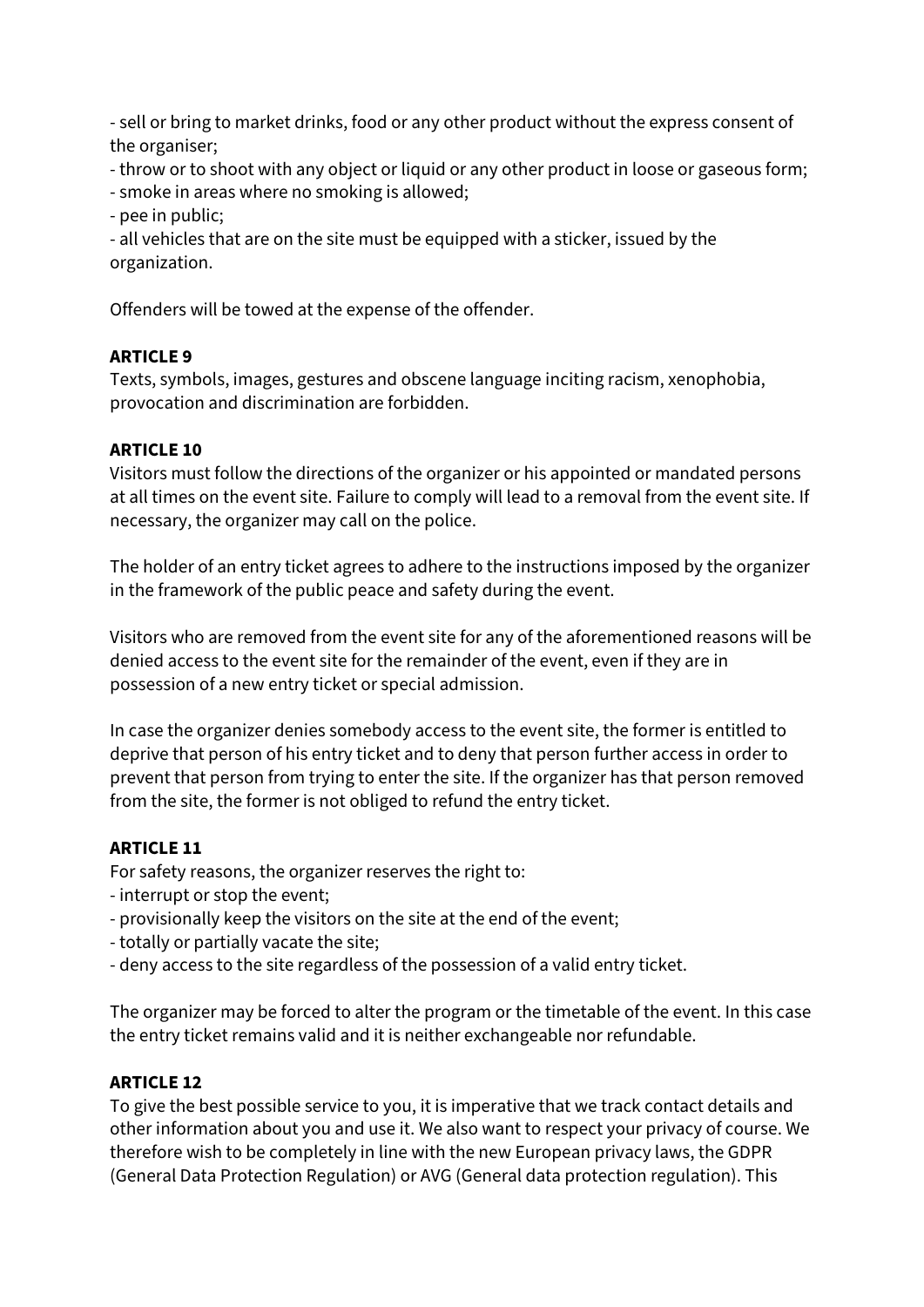- sell or bring to market drinks, food or any other product without the express consent of the organiser;

- throw or to shoot with any object or liquid or any other product in loose or gaseous form;

- smoke in areas where no smoking is allowed;
- pee in public;

- all vehicles that are on the site must be equipped with a sticker, issued by the organization.

Offenders will be towed at the expense of the offender.

#### **ARTICLE 9**

Texts, symbols, images, gestures and obscene language inciting racism, xenophobia, provocation and discrimination are forbidden.

#### **ARTICLE 10**

Visitors must follow the directions of the organizer or his appointed or mandated persons at all times on the event site. Failure to comply will lead to a removal from the event site. If necessary, the organizer may call on the police.

The holder of an entry ticket agrees to adhere to the instructions imposed by the organizer in the framework of the public peace and safety during the event.

Visitors who are removed from the event site for any of the aforementioned reasons will be denied access to the event site for the remainder of the event, even if they are in possession of a new entry ticket or special admission.

In case the organizer denies somebody access to the event site, the former is entitled to deprive that person of his entry ticket and to deny that person further access in order to prevent that person from trying to enter the site. If the organizer has that person removed from the site, the former is not obliged to refund the entry ticket.

#### **ARTICLE 11**

For safety reasons, the organizer reserves the right to:

- interrupt or stop the event;
- provisionally keep the visitors on the site at the end of the event;
- totally or partially vacate the site;
- deny access to the site regardless of the possession of a valid entry ticket.

The organizer may be forced to alter the program or the timetable of the event. In this case the entry ticket remains valid and it is neither exchangeable nor refundable.

#### **ARTICLE 12**

To give the best possible service to you, it is imperative that we track contact details and other information about you and use it. We also want to respect your privacy of course. We therefore wish to be completely in line with the new European privacy laws, the GDPR (General Data Protection Regulation) or AVG (General data protection regulation). This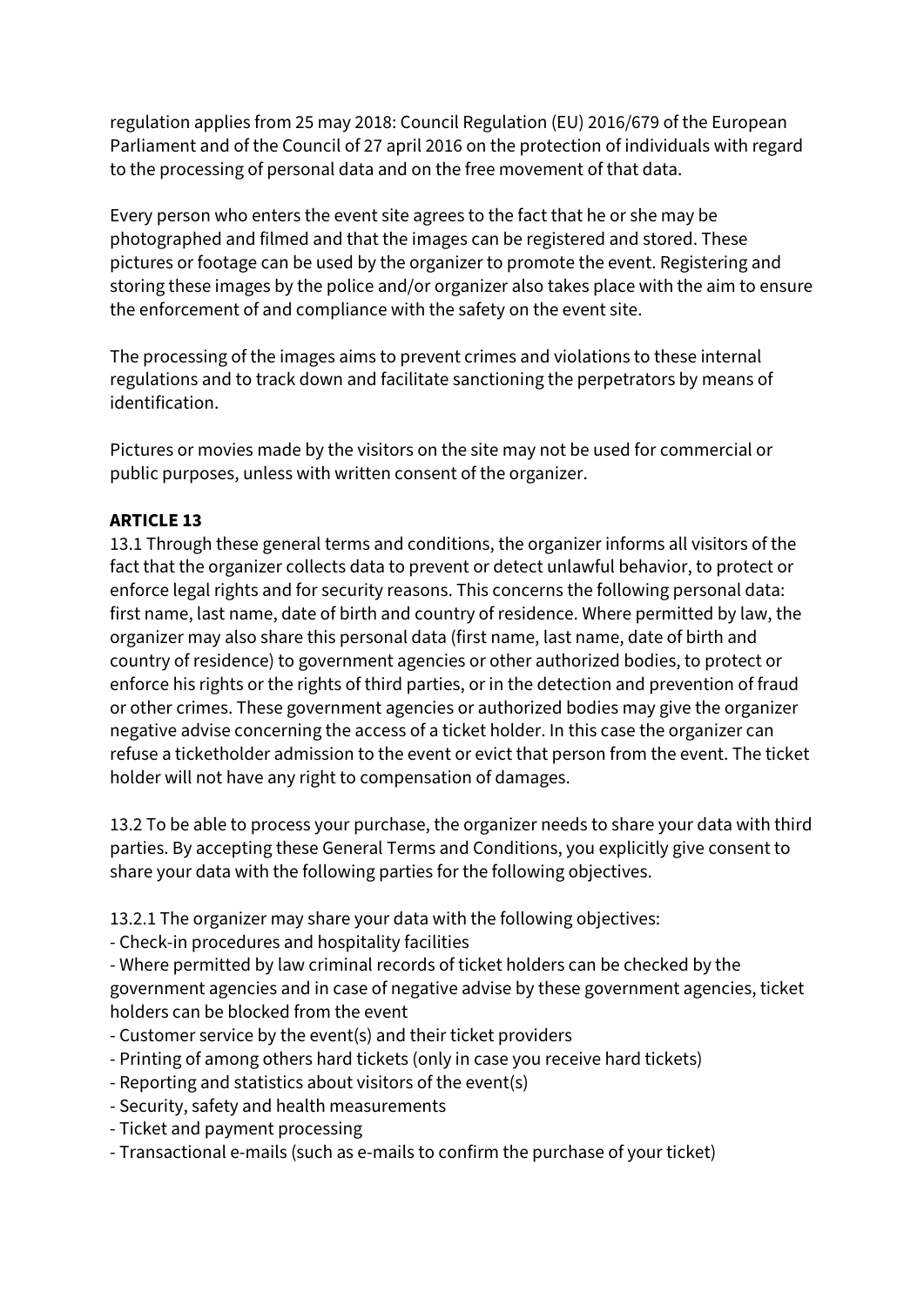regulation applies from 25 may 2018: Council Regulation (EU) 2016/679 of the European Parliament and of the Council of 27 april 2016 on the protection of individuals with regard to the processing of personal data and on the free movement of that data.

Every person who enters the event site agrees to the fact that he or she may be photographed and filmed and that the images can be registered and stored. These pictures or footage can be used by the organizer to promote the event. Registering and storing these images by the police and/or organizer also takes place with the aim to ensure the enforcement of and compliance with the safety on the event site.

The processing of the images aims to prevent crimes and violations to these internal regulations and to track down and facilitate sanctioning the perpetrators by means of identification.

Pictures or movies made by the visitors on the site may not be used for commercial or public purposes, unless with written consent of the organizer.

#### **ARTICLE 13**

13.1 Through these general terms and conditions, the organizer informs all visitors of the fact that the organizer collects data to prevent or detect unlawful behavior, to protect or enforce legal rights and for security reasons. This concerns the following personal data: first name, last name, date of birth and country of residence. Where permitted by law, the organizer may also share this personal data (first name, last name, date of birth and country of residence) to government agencies or other authorized bodies, to protect or enforce his rights or the rights of third parties, or in the detection and prevention of fraud or other crimes. These government agencies or authorized bodies may give the organizer negative advise concerning the access of a ticket holder. In this case the organizer can refuse a ticketholder admission to the event or evict that person from the event. The ticket holder will not have any right to compensation of damages.

13.2 To be able to process your purchase, the organizer needs to share your data with third parties. By accepting these General Terms and Conditions, you explicitly give consent to share your data with the following parties for the following objectives.

13.2.1 The organizer may share your data with the following objectives:

- Check-in procedures and hospitality facilities

- Where permitted by law criminal records of ticket holders can be checked by the government agencies and in case of negative advise by these government agencies, ticket holders can be blocked from the event

- Customer service by the event(s) and their ticket providers
- Printing of among others hard tickets (only in case you receive hard tickets)
- Reporting and statistics about visitors of the event(s)
- Security, safety and health measurements
- Ticket and payment processing
- Transactional e-mails (such as e-mails to confirm the purchase of your ticket)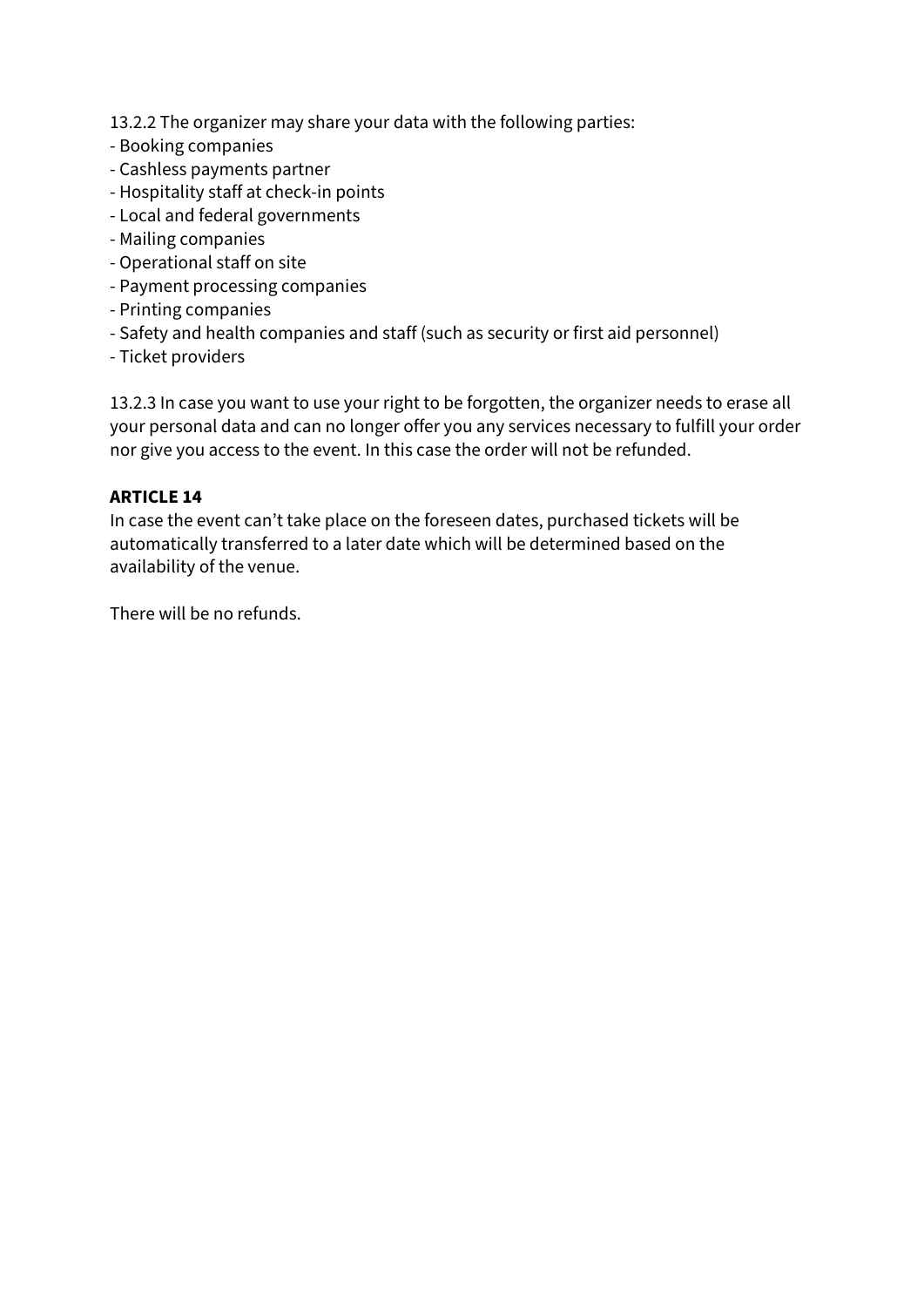13.2.2 The organizer may share your data with the following parties:

- Booking companies
- Cashless payments partner
- Hospitality staff at check-in points
- Local and federal governments
- Mailing companies
- Operational staff on site
- Payment processing companies
- Printing companies
- Safety and health companies and staff (such as security or first aid personnel)
- Ticket providers

13.2.3 In case you want to use your right to be forgotten, the organizer needs to erase all your personal data and can no longer offer you any services necessary to fulfill your order nor give you access to the event. In this case the order will not be refunded.

#### **ARTICLE 14**

In case the event can't take place on the foreseen dates, purchased tickets will be automatically transferred to a later date which will be determined based on the availability of the venue.

There will be no refunds.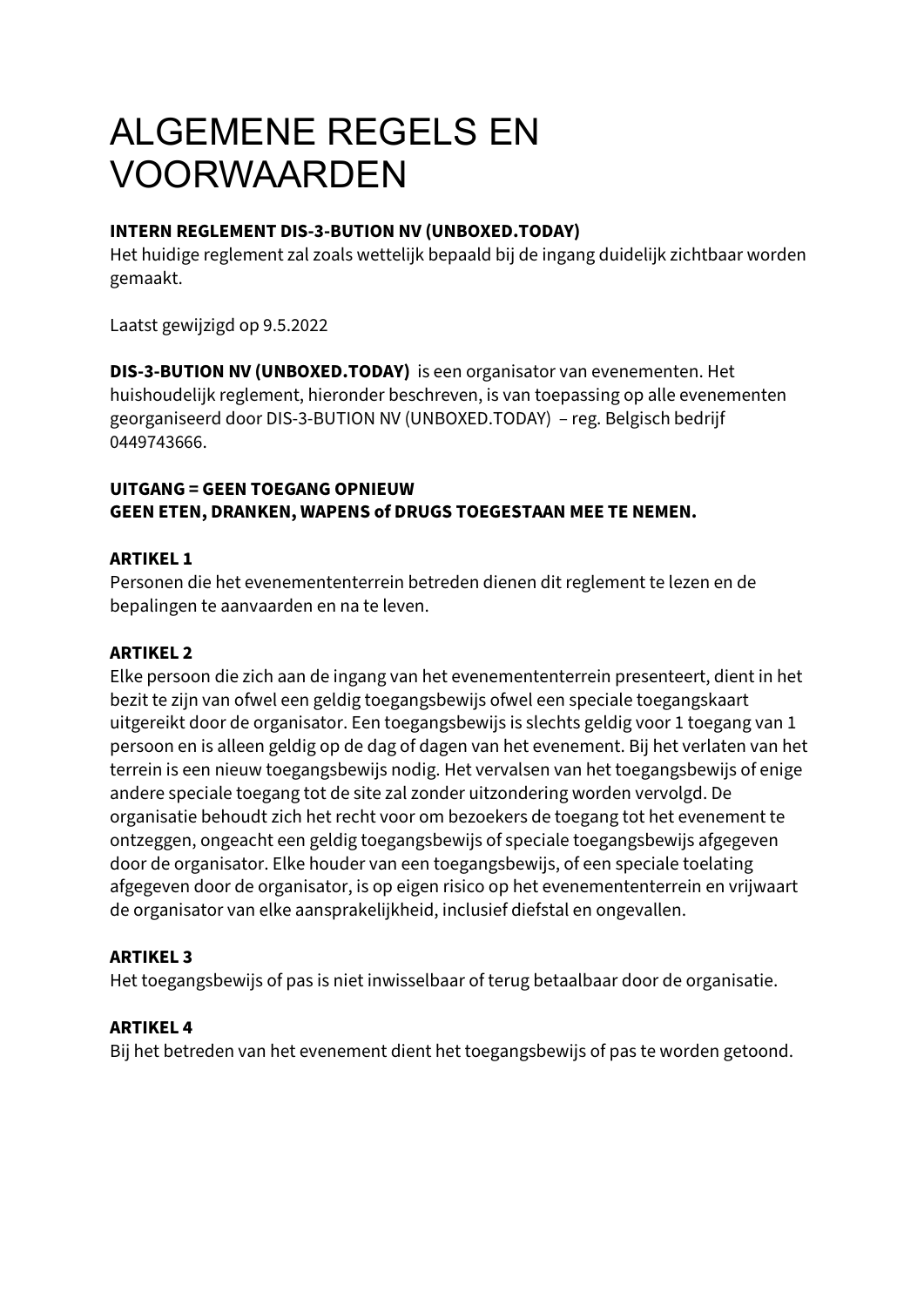# ALGEMENE REGELS EN VOORWAARDEN

#### **INTERN REGLEMENT DIS-3-BUTION NV (UNBOXED.TODAY)**

Het huidige reglement zal zoals wettelijk bepaald bij de ingang duidelijk zichtbaar worden gemaakt.

Laatst gewijzigd op 9.5.2022

**DIS-3-BUTION NV (UNBOXED.TODAY)** is een organisator van evenementen. Het huishoudelijk reglement, hieronder beschreven, is van toepassing op alle evenementen georganiseerd door DIS-3-BUTION NV (UNBOXED.TODAY) – reg. Belgisch bedrijf 0449743666.

#### **UITGANG = GEEN TOEGANG OPNIEUW GEEN ETEN, DRANKEN, WAPENS of DRUGS TOEGESTAAN MEE TE NEMEN.**

#### **ARTIKEL 1**

Personen die het evenemententerrein betreden dienen dit reglement te lezen en de bepalingen te aanvaarden en na te leven.

#### **ARTIKEL 2**

Elke persoon die zich aan de ingang van het evenemententerrein presenteert, dient in het bezit te zijn van ofwel een geldig toegangsbewijs ofwel een speciale toegangskaart uitgereikt door de organisator. Een toegangsbewijs is slechts geldig voor 1 toegang van 1 persoon en is alleen geldig op de dag of dagen van het evenement. Bij het verlaten van het terrein is een nieuw toegangsbewijs nodig. Het vervalsen van het toegangsbewijs of enige andere speciale toegang tot de site zal zonder uitzondering worden vervolgd. De organisatie behoudt zich het recht voor om bezoekers de toegang tot het evenement te ontzeggen, ongeacht een geldig toegangsbewijs of speciale toegangsbewijs afgegeven door de organisator. Elke houder van een toegangsbewijs, of een speciale toelating afgegeven door de organisator, is op eigen risico op het evenemententerrein en vrijwaart de organisator van elke aansprakelijkheid, inclusief diefstal en ongevallen.

#### **ARTIKEL 3**

Het toegangsbewijs of pas is niet inwisselbaar of terug betaalbaar door de organisatie.

#### **ARTIKEL 4**

Bij het betreden van het evenement dient het toegangsbewijs of pas te worden getoond.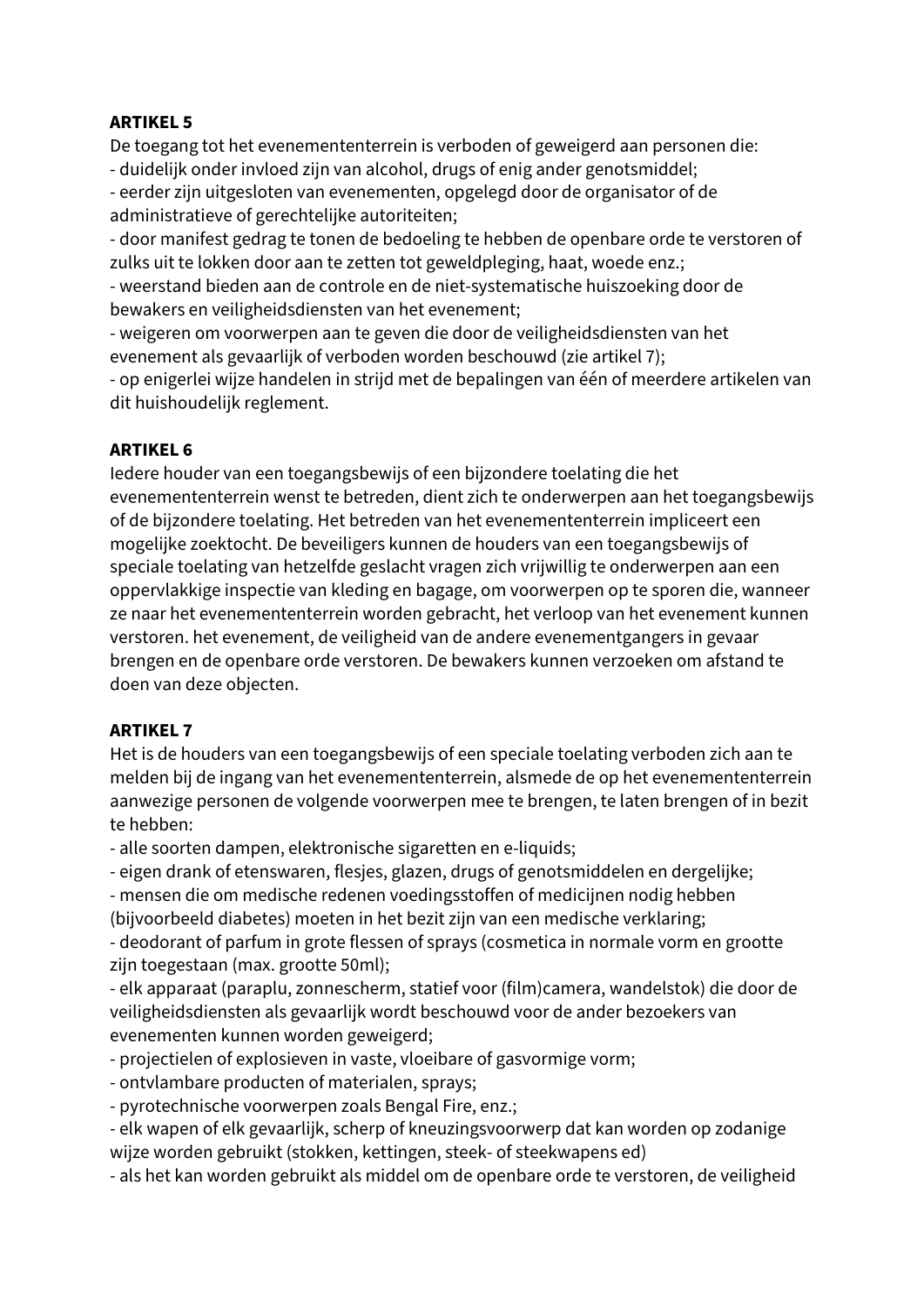#### **ARTIKEL 5**

De toegang tot het evenemententerrein is verboden of geweigerd aan personen die:

- duidelijk onder invloed zijn van alcohol, drugs of enig ander genotsmiddel;

- eerder zijn uitgesloten van evenementen, opgelegd door de organisator of de administratieve of gerechtelijke autoriteiten;

- door manifest gedrag te tonen de bedoeling te hebben de openbare orde te verstoren of zulks uit te lokken door aan te zetten tot geweldpleging, haat, woede enz.;

- weerstand bieden aan de controle en de niet-systematische huiszoeking door de bewakers en veiligheidsdiensten van het evenement;

- weigeren om voorwerpen aan te geven die door de veiligheidsdiensten van het evenement als gevaarlijk of verboden worden beschouwd (zie artikel 7);

- op enigerlei wijze handelen in strijd met de bepalingen van één of meerdere artikelen van dit huishoudelijk reglement.

#### **ARTIKEL 6**

Iedere houder van een toegangsbewijs of een bijzondere toelating die het evenemententerrein wenst te betreden, dient zich te onderwerpen aan het toegangsbewijs of de bijzondere toelating. Het betreden van het evenemententerrein impliceert een mogelijke zoektocht. De beveiligers kunnen de houders van een toegangsbewijs of speciale toelating van hetzelfde geslacht vragen zich vrijwillig te onderwerpen aan een oppervlakkige inspectie van kleding en bagage, om voorwerpen op te sporen die, wanneer ze naar het evenemententerrein worden gebracht, het verloop van het evenement kunnen verstoren. het evenement, de veiligheid van de andere evenementgangers in gevaar brengen en de openbare orde verstoren. De bewakers kunnen verzoeken om afstand te doen van deze objecten.

#### **ARTIKEL 7**

Het is de houders van een toegangsbewijs of een speciale toelating verboden zich aan te melden bij de ingang van het evenemententerrein, alsmede de op het evenemententerrein aanwezige personen de volgende voorwerpen mee te brengen, te laten brengen of in bezit te hebben:

- alle soorten dampen, elektronische sigaretten en e-liquids;

- eigen drank of etenswaren, flesjes, glazen, drugs of genotsmiddelen en dergelijke;

- mensen die om medische redenen voedingsstoffen of medicijnen nodig hebben

(bijvoorbeeld diabetes) moeten in het bezit zijn van een medische verklaring;

- deodorant of parfum in grote flessen of sprays (cosmetica in normale vorm en grootte zijn toegestaan (max. grootte 50ml);

- elk apparaat (paraplu, zonnescherm, statief voor (film)camera, wandelstok) die door de veiligheidsdiensten als gevaarlijk wordt beschouwd voor de ander bezoekers van evenementen kunnen worden geweigerd;

- projectielen of explosieven in vaste, vloeibare of gasvormige vorm;
- ontvlambare producten of materialen, sprays;
- pyrotechnische voorwerpen zoals Bengal Fire, enz.;
- elk wapen of elk gevaarlijk, scherp of kneuzingsvoorwerp dat kan worden op zodanige wijze worden gebruikt (stokken, kettingen, steek- of steekwapens ed)
- als het kan worden gebruikt als middel om de openbare orde te verstoren, de veiligheid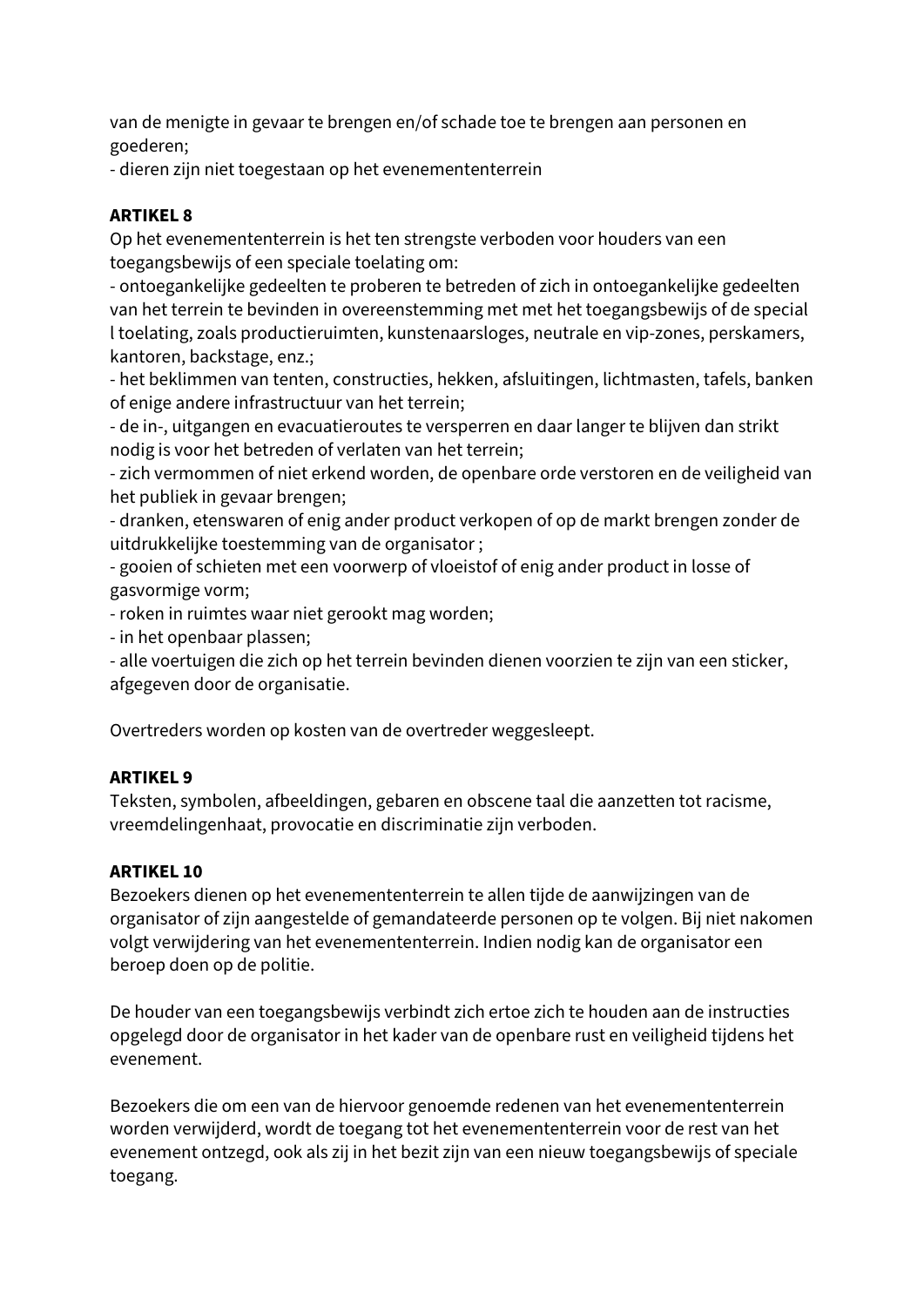van de menigte in gevaar te brengen en/of schade toe te brengen aan personen en goederen;

- dieren zijn niet toegestaan op het evenemententerrein

# **ARTIKEL 8**

Op het evenemententerrein is het ten strengste verboden voor houders van een toegangsbewijs of een speciale toelating om:

- ontoegankelijke gedeelten te proberen te betreden of zich in ontoegankelijke gedeelten van het terrein te bevinden in overeenstemming met met het toegangsbewijs of de special l toelating, zoals productieruimten, kunstenaarsloges, neutrale en vip-zones, perskamers, kantoren, backstage, enz.;

- het beklimmen van tenten, constructies, hekken, afsluitingen, lichtmasten, tafels, banken of enige andere infrastructuur van het terrein;

- de in-, uitgangen en evacuatieroutes te versperren en daar langer te blijven dan strikt nodig is voor het betreden of verlaten van het terrein;

- zich vermommen of niet erkend worden, de openbare orde verstoren en de veiligheid van het publiek in gevaar brengen;

- dranken, etenswaren of enig ander product verkopen of op de markt brengen zonder de uitdrukkelijke toestemming van de organisator ;

- gooien of schieten met een voorwerp of vloeistof of enig ander product in losse of gasvormige vorm;

- roken in ruimtes waar niet gerookt mag worden;

- in het openbaar plassen;

- alle voertuigen die zich op het terrein bevinden dienen voorzien te zijn van een sticker, afgegeven door de organisatie.

Overtreders worden op kosten van de overtreder weggesleept.

# **ARTIKEL 9**

Teksten, symbolen, afbeeldingen, gebaren en obscene taal die aanzetten tot racisme, vreemdelingenhaat, provocatie en discriminatie zijn verboden.

# **ARTIKEL 10**

Bezoekers dienen op het evenemententerrein te allen tijde de aanwijzingen van de organisator of zijn aangestelde of gemandateerde personen op te volgen. Bij niet nakomen volgt verwijdering van het evenemententerrein. Indien nodig kan de organisator een beroep doen op de politie.

De houder van een toegangsbewijs verbindt zich ertoe zich te houden aan de instructies opgelegd door de organisator in het kader van de openbare rust en veiligheid tijdens het evenement.

Bezoekers die om een van de hiervoor genoemde redenen van het evenemententerrein worden verwijderd, wordt de toegang tot het evenemententerrein voor de rest van het evenement ontzegd, ook als zij in het bezit zijn van een nieuw toegangsbewijs of speciale toegang.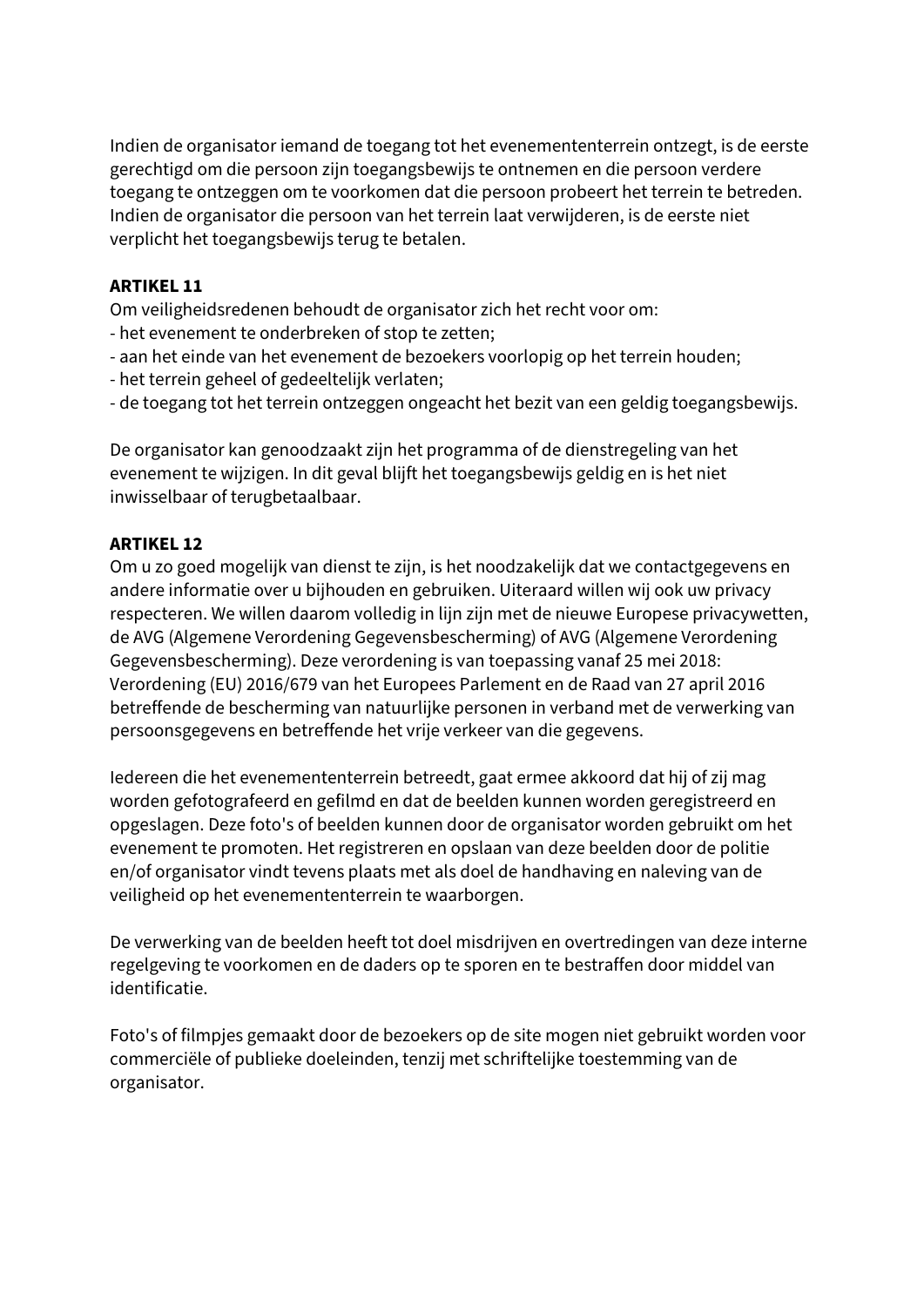Indien de organisator iemand de toegang tot het evenemententerrein ontzegt, is de eerste gerechtigd om die persoon zijn toegangsbewijs te ontnemen en die persoon verdere toegang te ontzeggen om te voorkomen dat die persoon probeert het terrein te betreden. Indien de organisator die persoon van het terrein laat verwijderen, is de eerste niet verplicht het toegangsbewijs terug te betalen.

#### **ARTIKEL 11**

Om veiligheidsredenen behoudt de organisator zich het recht voor om:

- het evenement te onderbreken of stop te zetten;
- aan het einde van het evenement de bezoekers voorlopig op het terrein houden;
- het terrein geheel of gedeeltelijk verlaten;
- de toegang tot het terrein ontzeggen ongeacht het bezit van een geldig toegangsbewijs.

De organisator kan genoodzaakt zijn het programma of de dienstregeling van het evenement te wijzigen. In dit geval blijft het toegangsbewijs geldig en is het niet inwisselbaar of terugbetaalbaar.

#### **ARTIKEL 12**

Om u zo goed mogelijk van dienst te zijn, is het noodzakelijk dat we contactgegevens en andere informatie over u bijhouden en gebruiken. Uiteraard willen wij ook uw privacy respecteren. We willen daarom volledig in lijn zijn met de nieuwe Europese privacywetten, de AVG (Algemene Verordening Gegevensbescherming) of AVG (Algemene Verordening Gegevensbescherming). Deze verordening is van toepassing vanaf 25 mei 2018: Verordening (EU) 2016/679 van het Europees Parlement en de Raad van 27 april 2016 betreffende de bescherming van natuurlijke personen in verband met de verwerking van persoonsgegevens en betreffende het vrije verkeer van die gegevens.

Iedereen die het evenemententerrein betreedt, gaat ermee akkoord dat hij of zij mag worden gefotografeerd en gefilmd en dat de beelden kunnen worden geregistreerd en opgeslagen. Deze foto's of beelden kunnen door de organisator worden gebruikt om het evenement te promoten. Het registreren en opslaan van deze beelden door de politie en/of organisator vindt tevens plaats met als doel de handhaving en naleving van de veiligheid op het evenemententerrein te waarborgen.

De verwerking van de beelden heeft tot doel misdrijven en overtredingen van deze interne regelgeving te voorkomen en de daders op te sporen en te bestraffen door middel van identificatie.

Foto's of filmpjes gemaakt door de bezoekers op de site mogen niet gebruikt worden voor commerciële of publieke doeleinden, tenzij met schriftelijke toestemming van de organisator.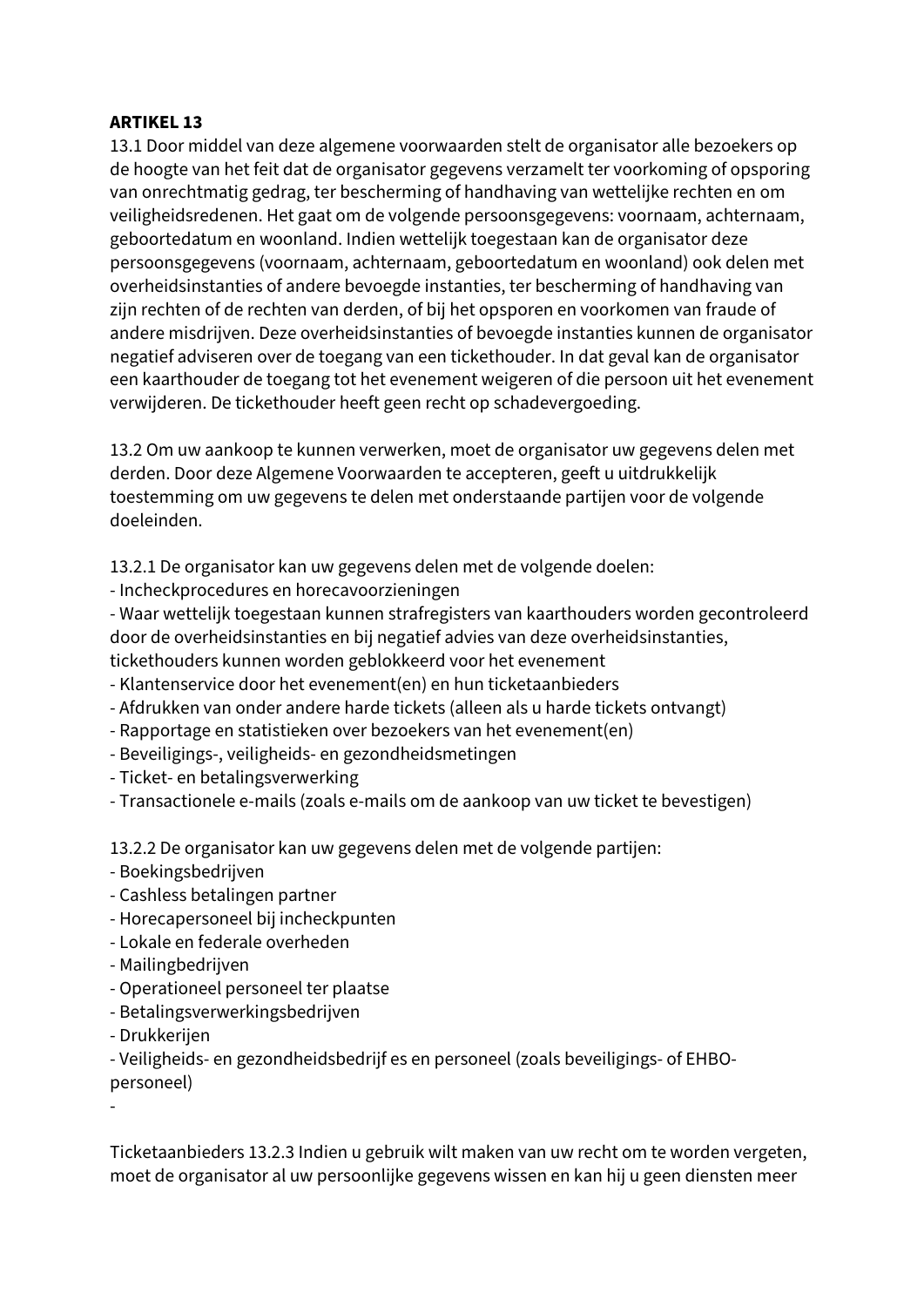#### **ARTIKEL 13**

13.1 Door middel van deze algemene voorwaarden stelt de organisator alle bezoekers op de hoogte van het feit dat de organisator gegevens verzamelt ter voorkoming of opsporing van onrechtmatig gedrag, ter bescherming of handhaving van wettelijke rechten en om veiligheidsredenen. Het gaat om de volgende persoonsgegevens: voornaam, achternaam, geboortedatum en woonland. Indien wettelijk toegestaan kan de organisator deze persoonsgegevens (voornaam, achternaam, geboortedatum en woonland) ook delen met overheidsinstanties of andere bevoegde instanties, ter bescherming of handhaving van zijn rechten of de rechten van derden, of bij het opsporen en voorkomen van fraude of andere misdrijven. Deze overheidsinstanties of bevoegde instanties kunnen de organisator negatief adviseren over de toegang van een tickethouder. In dat geval kan de organisator een kaarthouder de toegang tot het evenement weigeren of die persoon uit het evenement verwijderen. De tickethouder heeft geen recht op schadevergoeding.

13.2 Om uw aankoop te kunnen verwerken, moet de organisator uw gegevens delen met derden. Door deze Algemene Voorwaarden te accepteren, geeft u uitdrukkelijk toestemming om uw gegevens te delen met onderstaande partijen voor de volgende doeleinden.

13.2.1 De organisator kan uw gegevens delen met de volgende doelen:

- Incheckprocedures en horecavoorzieningen

- Waar wettelijk toegestaan kunnen strafregisters van kaarthouders worden gecontroleerd door de overheidsinstanties en bij negatief advies van deze overheidsinstanties, tickethouders kunnen worden geblokkeerd voor het evenement

- Klantenservice door het evenement(en) en hun ticketaanbieders
- Afdrukken van onder andere harde tickets (alleen als u harde tickets ontvangt)
- Rapportage en statistieken over bezoekers van het evenement(en)
- Beveiligings-, veiligheids- en gezondheidsmetingen
- Ticket- en betalingsverwerking

- Transactionele e-mails (zoals e-mails om de aankoop van uw ticket te bevestigen)

13.2.2 De organisator kan uw gegevens delen met de volgende partijen:

- Boekingsbedrijven
- Cashless betalingen partner
- Horecapersoneel bij incheckpunten
- Lokale en federale overheden
- Mailingbedrijven
- Operationeel personeel ter plaatse
- Betalingsverwerkingsbedrijven
- Drukkerijen

- Veiligheids- en gezondheidsbedrijf es en personeel (zoals beveiligings- of EHBOpersoneel)

-

Ticketaanbieders 13.2.3 Indien u gebruik wilt maken van uw recht om te worden vergeten, moet de organisator al uw persoonlijke gegevens wissen en kan hij u geen diensten meer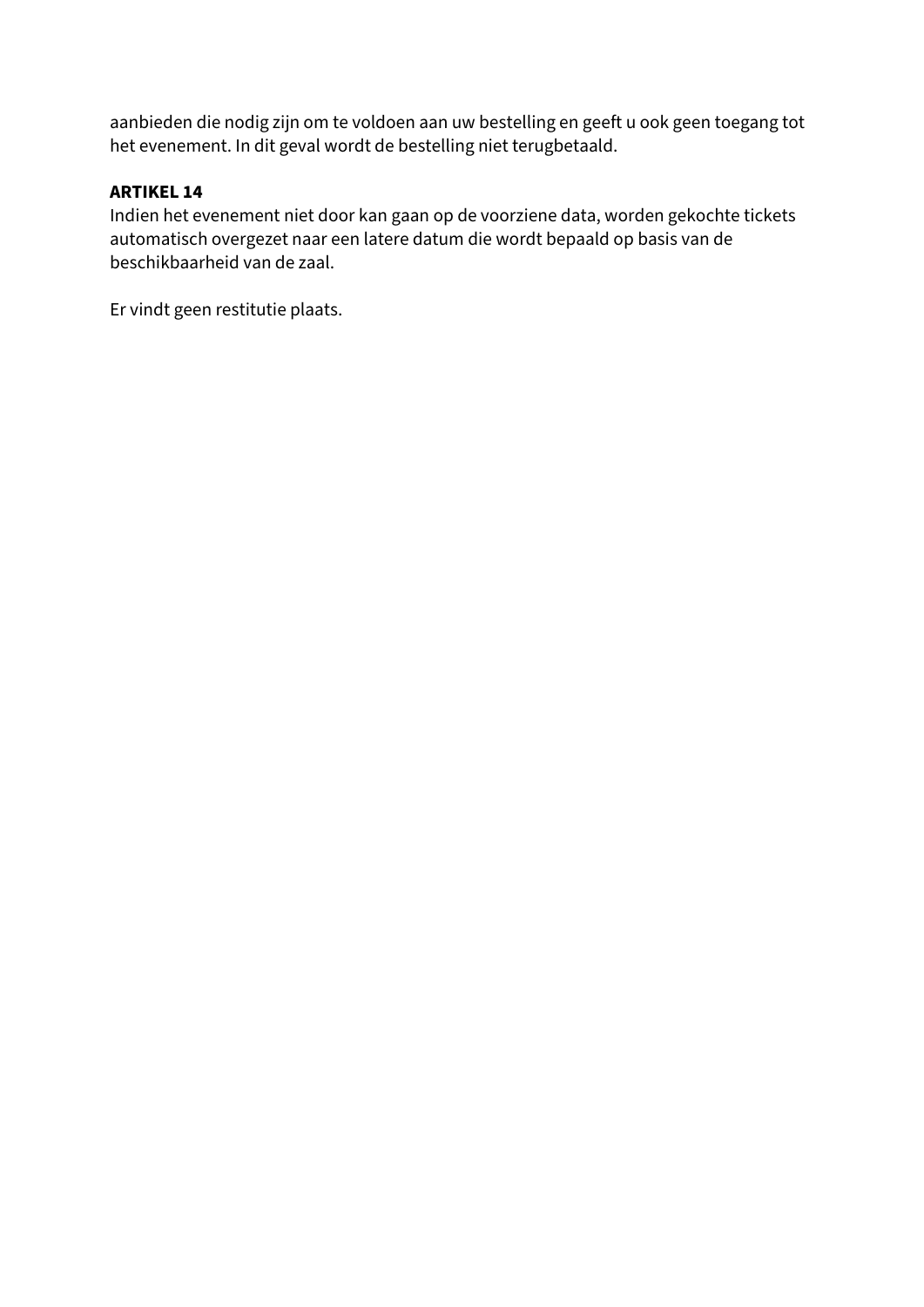aanbieden die nodig zijn om te voldoen aan uw bestelling en geeft u ook geen toegang tot het evenement. In dit geval wordt de bestelling niet terugbetaald.

#### **ARTIKEL 14**

Indien het evenement niet door kan gaan op de voorziene data, worden gekochte tickets automatisch overgezet naar een latere datum die wordt bepaald op basis van de beschikbaarheid van de zaal.

Er vindt geen restitutie plaats.